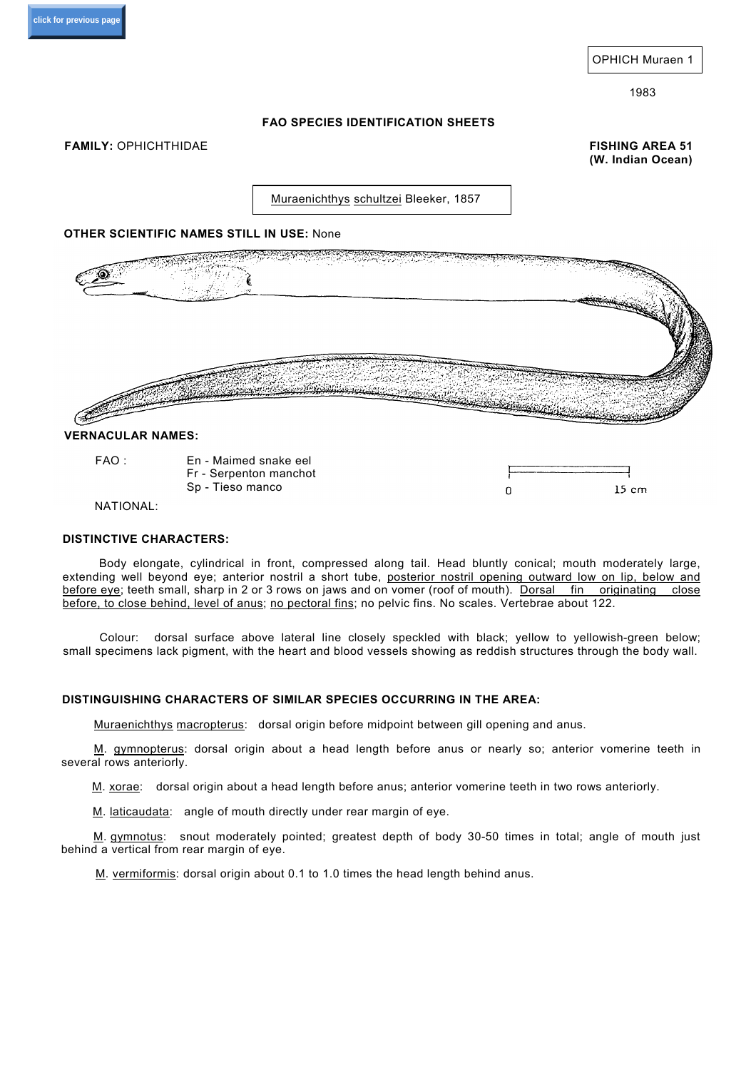### **FAO SPECIES IDENTIFICATION SHEETS**

**FAMILY:** OPHICHTHIDAE **FISHING AREA 51** 

**(W. Indian Ocean)**

Muraenichthys schultzei Bleeker, 1857

### **OTHER SCIENTIFIC NAMES STILL IN USE:** None



#### **VERNACULAR NAMES:**

FAO : En - Maimed snake eel Fr - Serpenton manchot Sp - Tieso manco

| $15 \text{ cm}$ |
|-----------------|

#### NATIONAL:

## **DISTINCTIVE CHARACTERS:**

Body elongate, cylindrical in front, compressed along tail. Head bluntly conical; mouth moderately large, extending well beyond eye; anterior nostril a short tube, posterior nostril opening outward low on lip, below and before eye; teeth small, sharp in 2 or 3 rows on jaws and on vomer (roof of mouth). Dorsal fin originating close before, to close behind, level of anus; no pectoral fins; no pelvic fins. No scales. Vertebrae about 122.

Colour: dorsal surface above lateral line closely speckled with black; yellow to yellowish-green below; small specimens lack pigment, with the heart and blood vessels showing as reddish structures through the body wall.

## **DISTINGUISHING CHARACTERS OF SIMILAR SPECIES OCCURRING IN THE AREA:**

Muraenichthys macropterus: dorsal origin before midpoint between gill opening and anus.

M. gymnopterus: dorsal origin about a head length before anus or nearly so; anterior vomerine teeth in several rows anteriorly.

M. xorae: dorsal origin about a head length before anus; anterior vomerine teeth in two rows anteriorly.

M. laticaudata: angle of mouth directly under rear margin of eye.

M. gymnotus: snout moderately pointed; greatest depth of body 30-50 times in total; angle of mouth just behind a vertical from rear margin of eye.

M. vermiformis: dorsal origin about 0.1 to 1.0 times the head length behind anus.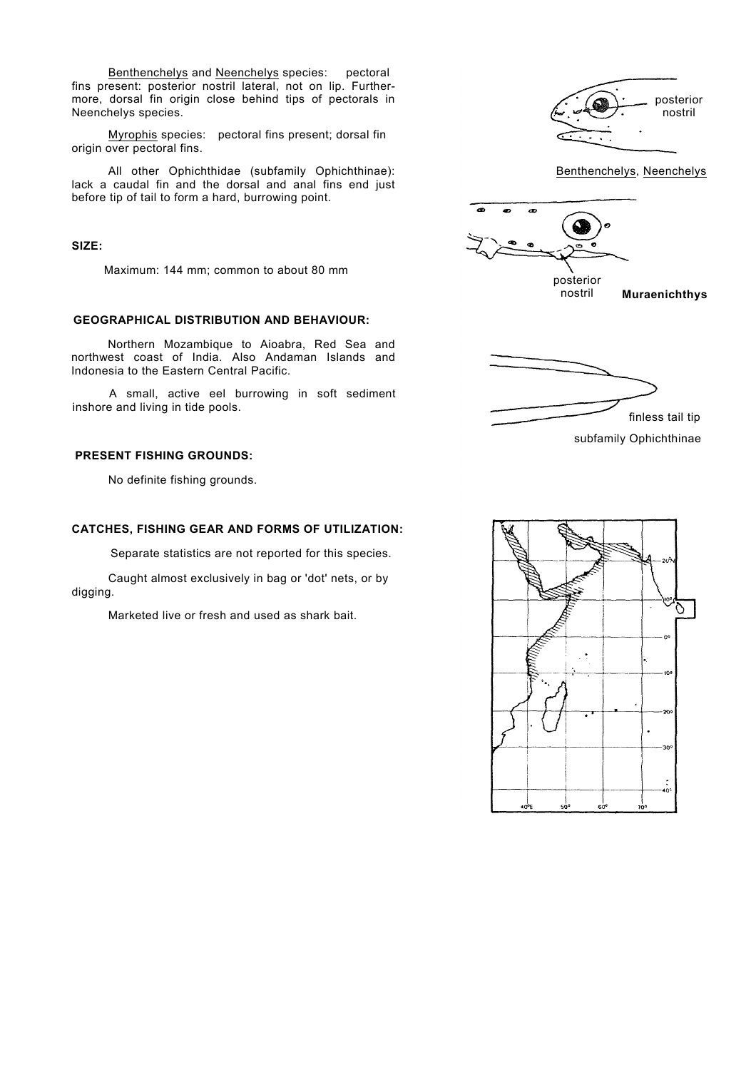Benthenchelys and Neenchelys species: pectoral fins present: posterior nostril lateral, not on lip. Furthermore, dorsal fin origin close behind tips of pectorals in Neenchelys species.

Myrophis species: pectoral fins present; dorsal fin origin over pectoral fins.

All other Ophichthidae (subfamily Ophichthinae): lack a caudal fin and the dorsal and anal fins end just before tip of tail to form a hard, burrowing point.

#### **SIZE:**

Maximum: 144 mm; common to about 80 mm

### **GEOGRAPHICAL DISTRIBUTION AND BEHAVIOUR:**

Northern Mozambique to Aioabra, Red Sea and northwest coast of India. Also Andaman Islands and Indonesia to the Eastern Central Pacific.

A small, active eel burrowing in soft sediment

#### **PRESENT FISHING GROUNDS:**

No definite fishing grounds.

#### **CATCHES, FISHING GEAR AND FORMS OF UTILIZATION:**

Separate statistics are not reported for this species.

Caught almost exclusively in bag or 'dot' nets, or by digging.

Marketed live or fresh and used as shark bait.





**Muraenichthys** 



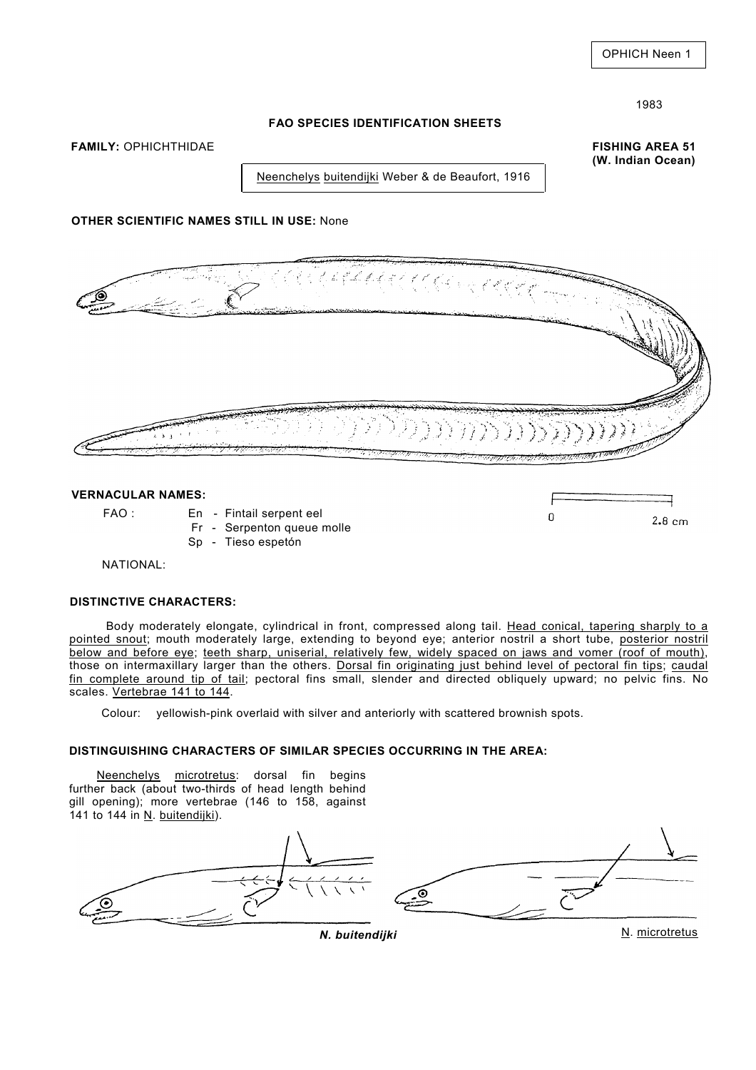**(W. Indian Ocean)** 

 $\overline{0}$ 

### **FAO SPECIES IDENTIFICATION SHEETS**

**FAMILY:** OPHICHTHIDAE **FISHING AREA 51** 

Neenchelys buitendijki Weber & de Beaufort, 1916

# **OTHER SCIENTIFIC NAMES STILL IN USE:** None



### **VERNACULAR NAMES:**

- FAO : En Fintail serpent eel
	- Fr Serpenton queue molle
	- Sp Tieso espetón

NATIONAL:

### **DISTINCTIVE CHARACTERS:**

Body moderately elongate, cylindrical in front, compressed along tail. Head conical, tapering sharply to a pointed snout; mouth moderately large, extending to beyond eye; anterior nostril a short tube, posterior nostril below and before eye; teeth sharp, uniserial, relatively few, widely spaced on jaws and vomer (roof of mouth), those on intermaxillary larger than the others. Dorsal fin originating just behind level of pectoral fin tips; caudal fin complete around tip of tail; pectoral fins small, slender and directed obliquely upward; no pelvic fins. No scales. Vertebrae 141 to 144.

Colour: yellowish-pink overlaid with silver and anteriorly with scattered brownish spots.

# **DISTINGUISHING CHARACTERS OF SIMILAR SPECIES OCCURRING IN THE AREA:**

Neenchelys microtretus: dorsal fin begins further back (about two-thirds of head length behind gill opening); more vertebrae (146 to 158, against 141 to 144 in N. buitendijki).



 $2.8 \text{ cm}$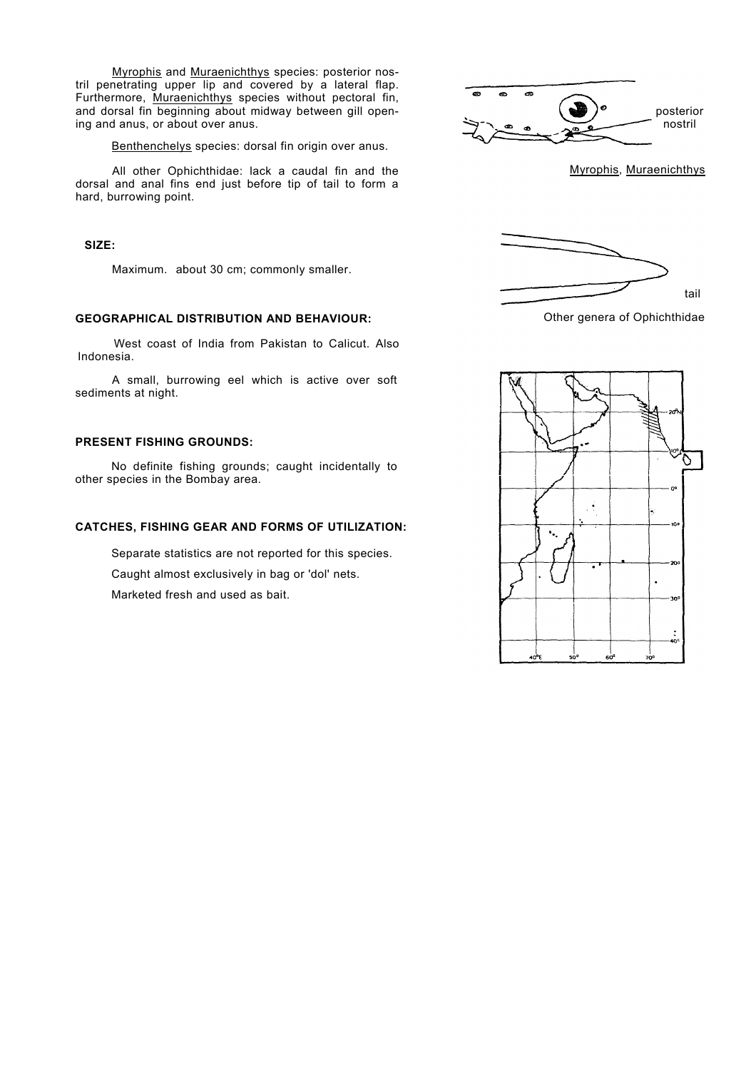Myrophis and Muraenichthys species: posterior nostril penetrating upper lip and covered by a lateral flap. Furthermore, Muraenichthys species without pectoral fin, and dorsal fin beginning about midway between gill opening and anus, or about over anus.

Benthenchelys species: dorsal fin origin over anus.

All other Ophichthidae: lack a caudal fin and the dorsal and anal fins end just before tip of tail to form a hard, burrowing point.

#### **SIZE:**

Maximum. about 30 cm; commonly smaller.

## **GEOGRAPHICAL DISTRIBUTION AND BEHAVIOUR:**

West coast of India from Pakistan to Calicut. Also Indonesia.

A small, burrowing eel which is active over soft sediments at night.

### **PRESENT FISHING GROUNDS:**

No definite fishing grounds; caught incidentally to other species in the Bombay area.

### **CATCHES, FISHING GEAR AND FORMS OF UTILIZATION:**

Separate statistics are not reported for this species.

Caught almost exclusively in bag or 'dol' nets.

Marketed fresh and used as bait.









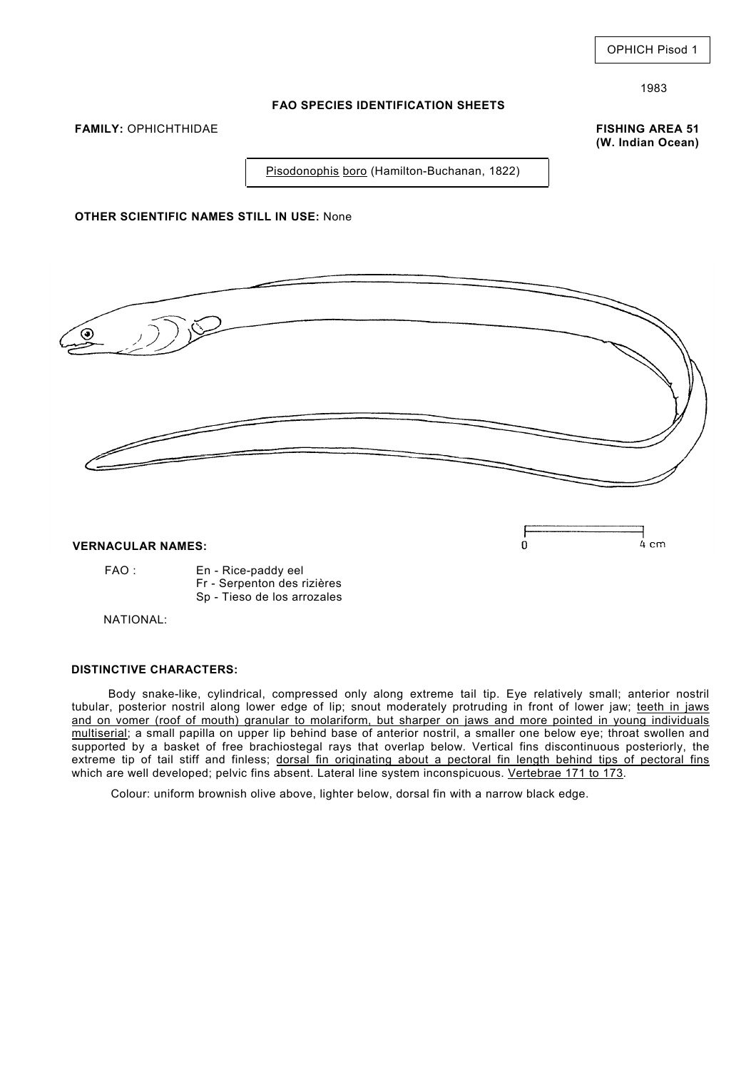#### **FAO SPECIES IDENTIFICATION SHEETS**

**FAMILY:** OPHICHTHIDAE **FISHING AREA 51** 

**(W. Indian Ocean)** 

Pisodonophis boro (Hamilton-Buchanan, 1822)

## **OTHER SCIENTIFIC NAMES STILL IN USE:** None



### **VERNACULAR NAMES:**

#### FAO : En - Rice-paddy eel

- Fr Serpenton des rizières
- Sp Tieso de los arrozales

NATIONAL:

### **DISTINCTIVE CHARACTERS:**

Body snake-like, cylindrical, compressed only along extreme tail tip. Eye relatively small; anterior nostril tubular, posterior nostril along lower edge of lip; snout moderately protruding in front of lower jaw; teeth in jaws and on vomer (roof of mouth) granular to molariform, but sharper on jaws and more pointed in young individuals multiserial; a small papilla on upper lip behind base of anterior nostril, a smaller one below eye; throat swollen and supported by a basket of free brachiostegal rays that overlap below. Vertical fins discontinuous posteriorly, the extreme tip of tail stiff and finless; dorsal fin oriqinating about a pectoral fin length behind tips of pectoral fins which are well developed; pelvic fins absent. Lateral line system inconspicuous. Vertebrae 171 to 173.

Colour: uniform brownish olive above, lighter below, dorsal fin with a narrow black edge.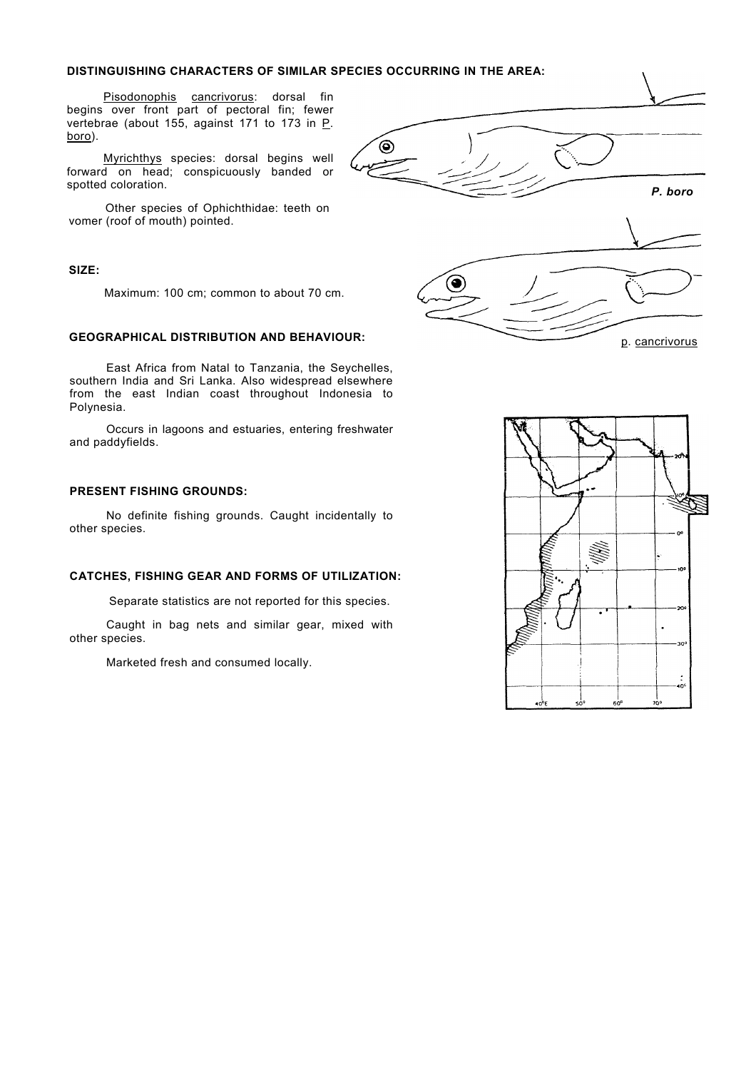#### **DISTINGUISHING CHARACTERS OF SIMILAR SPECIES OCCURRING IN THE AREA:**

Pisodonophis cancrivorus: dorsal fin begins over front part of pectoral fin; fewer vertebrae (about 155, against 171 to 173 in P. boro).

Myrichthys species: dorsal begins well forward on head; conspicuously banded or spotted coloration.

Other species of Ophichthidae: teeth on vomer (roof of mouth) pointed.

#### **SIZE:**

Maximum: 100 cm; common to about 70 cm.

### **GEOGRAPHICAL DISTRIBUTION AND BEHAVIOUR:**

East Africa from Natal to Tanzania, the Seychelles, southern India and Sri Lanka. Also widespread elsewhere from the east Indian coast throughout Indonesia to Polynesia.

Occurs in lagoons and estuaries, entering freshwater and paddyfields.

## **PRESENT FISHING GROUNDS:**

No definite fishing grounds. Caught incidentally to other species.

## **CATCHES, FISHING GEAR AND FORMS OF UTILIZATION:**

Separate statistics are not reported for this species.

Caught in bag nets and similar gear, mixed with other species.

Marketed fresh and consumed locally.



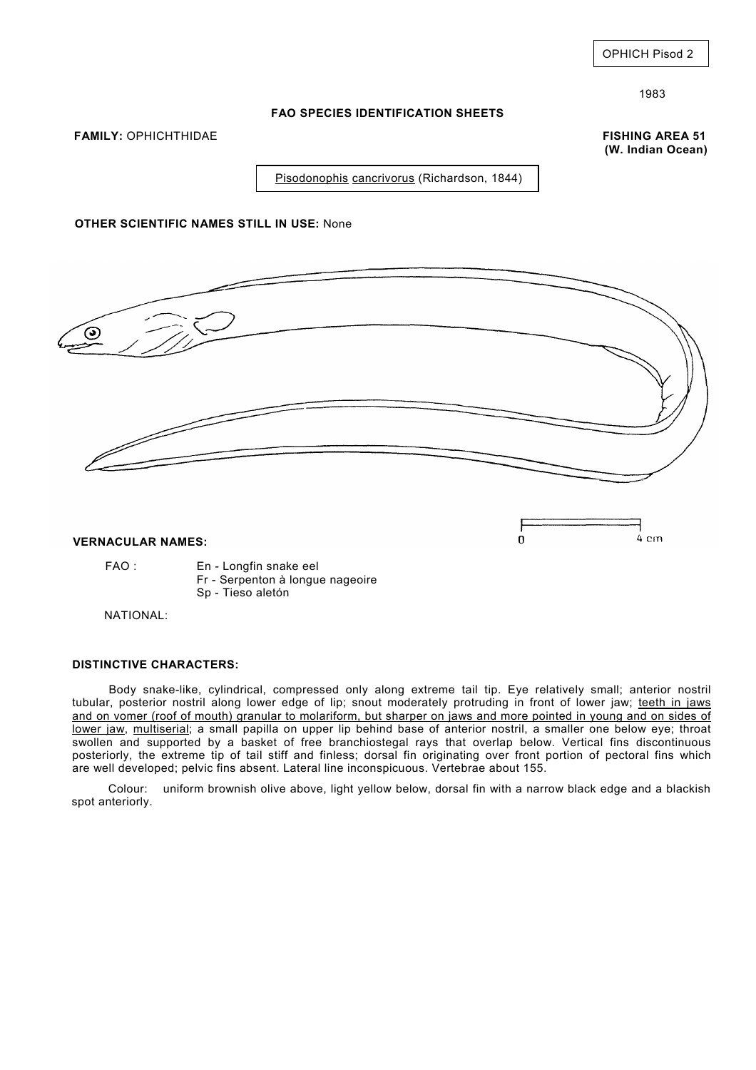#### **FAO SPECIES IDENTIFICATION SHEETS**

**FAMILY:** OPHICHTHIDAE **FISHING AREA 51** 

**(W. Indian Ocean)**

Pisodonophis cancrivorus (Richardson, 1844)

## **OTHER SCIENTIFIC NAMES STILL IN USE:** None



#### **VERNACULAR NAMES:**

FAO : En - Longfin snake eel Fr - Serpenton à longue nageoire

Sp - Tieso aletón

NATIONAL:

### **DISTINCTIVE CHARACTERS:**

Body snake-like, cylindrical, compressed only along extreme tail tip. Eye relatively small; anterior nostril tubular, posterior nostril along lower edge of lip; snout moderately protruding in front of lower jaw; teeth in jaws and on vomer (roof of mouth) granular to molariform, but sharper on jaws and more pointed in young and on sides of lower jaw, multiserial; a small papilla on upper lip behind base of anterior nostril, a smaller one below eye; throat swollen and supported by a basket of free branchiostegal rays that overlap below. Vertical fins discontinuous posteriorly, the extreme tip of tail stiff and finless; dorsal fin originating over front portion of pectoral fins which are well developed; pelvic fins absent. Lateral line inconspicuous. Vertebrae about 155.

Colour: uniform brownish olive above, light yellow below, dorsal fin with a narrow black edge and a blackish spot anteriorly.